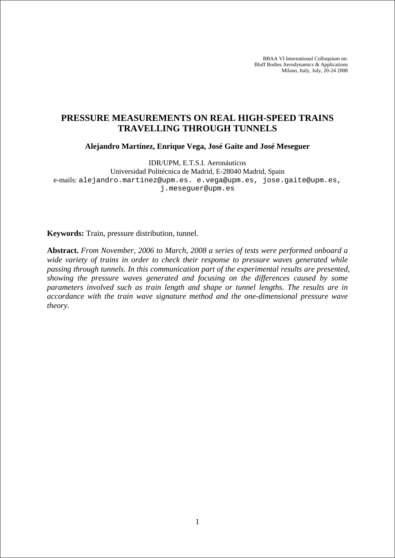BBAA VI International Colloquium on: Bluff Bodies Aerodynamics & Applications Milano, Italy, July, 20-24 2008

# **PRESSURE MEASUREMENTS ON REAL HIGH-SPEED TRAINS TRAVELLING THROUGH TUNNELS**

**Alejandro Martínez, Enrique Vega, José Gaite and José Meseguer** 

IDR/UPM, E.T.S.I. Aeronáuticos

Universidad Politécnica de Madrid, E-28040 Madrid, Spain e-mails: alejandro.martinez@upm.es. e.vega@upm.es, jose.gaite@upm.es, j.meseguer@upm.es

**Keywords:** Train, pressure distribution, tunnel.

**Abstract.** *From November, 2006 to March, 2008 a series of tests were performed onboard a wide variety of trains in order to check their response to pressure waves generated while passing through tunnels. In this communication part of the experimental results are presented, showing the pressure waves generated and focusing on the differences caused by some parameters involved such as train length and shape or tunnel lengths. The results are in accordance with the train wave signature method and the one-dimensional pressure wave theory.*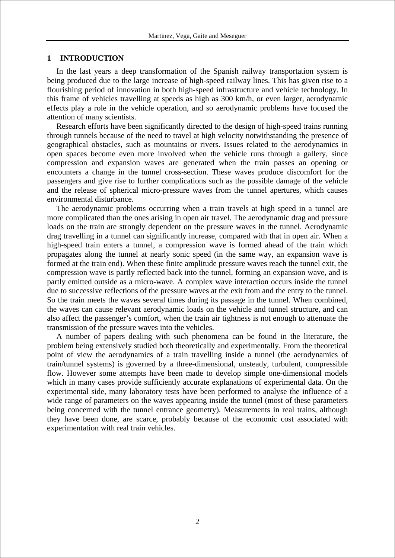### **1 INTRODUCTION**

In the last years a deep transformation of the Spanish railway transportation system is being produced due to the large increase of high-speed railway lines. This has given rise to a flourishing period of innovation in both high-speed infrastructure and vehicle technology. In this frame of vehicles travelling at speeds as high as 300 km/h, or even larger, aerodynamic effects play a role in the vehicle operation, and so aerodynamic problems have focused the attention of many scientists.

Research efforts have been significantly directed to the design of high-speed trains running through tunnels because of the need to travel at high velocity notwithstanding the presence of geographical obstacles, such as mountains or rivers. Issues related to the aerodynamics in open spaces become even more involved when the vehicle runs through a gallery, since compression and expansion waves are generated when the train passes an opening or encounters a change in the tunnel cross-section. These waves produce discomfort for the passengers and give rise to further complications such as the possible damage of the vehicle and the release of spherical micro-pressure waves from the tunnel apertures, which causes environmental disturbance.

The aerodynamic problems occurring when a train travels at high speed in a tunnel are more complicated than the ones arising in open air travel. The aerodynamic drag and pressure loads on the train are strongly dependent on the pressure waves in the tunnel. Aerodynamic drag travelling in a tunnel can significantly increase, compared with that in open air. When a high-speed train enters a tunnel, a compression wave is formed ahead of the train which propagates along the tunnel at nearly sonic speed (in the same way, an expansion wave is formed at the train end). When these finite amplitude pressure waves reach the tunnel exit, the compression wave is partly reflected back into the tunnel, forming an expansion wave, and is partly emitted outside as a micro-wave. A complex wave interaction occurs inside the tunnel due to successive reflections of the pressure waves at the exit from and the entry to the tunnel. So the train meets the waves several times during its passage in the tunnel. When combined, the waves can cause relevant aerodynamic loads on the vehicle and tunnel structure, and can also affect the passenger's comfort, when the train air tightness is not enough to attenuate the transmission of the pressure waves into the vehicles.

A number of papers dealing with such phenomena can be found in the literature, the problem being extensively studied both theoretically and experimentally. From the theoretical point of view the aerodynamics of a train travelling inside a tunnel (the aerodynamics of train/tunnel systems) is governed by a three-dimensional, unsteady, turbulent, compressible flow. However some attempts have been made to develop simple one-dimensional models which in many cases provide sufficiently accurate explanations of experimental data. On the experimental side, many laboratory tests have been performed to analyse the influence of a wide range of parameters on the waves appearing inside the tunnel (most of these parameters being concerned with the tunnel entrance geometry). Measurements in real trains, although they have been done, are scarce, probably because of the economic cost associated with experimentation with real train vehicles.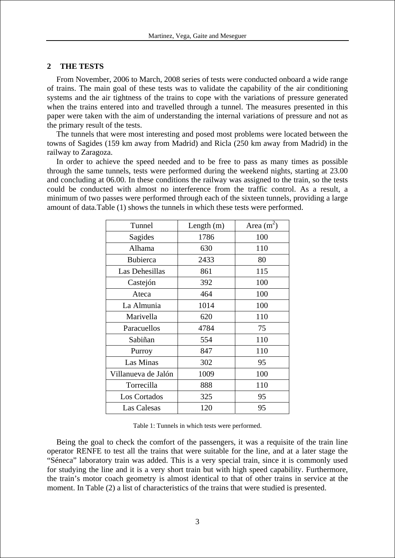### **2 THE TESTS**

From November, 2006 to March, 2008 series of tests were conducted onboard a wide range of trains. The main goal of these tests was to validate the capability of the air conditioning systems and the air tightness of the trains to cope with the variations of pressure generated when the trains entered into and travelled through a tunnel. The measures presented in this paper were taken with the aim of understanding the internal variations of pressure and not as the primary result of the tests.

The tunnels that were most interesting and posed most problems were located between the towns of Sagides (159 km away from Madrid) and Ricla (250 km away from Madrid) in the railway to Zaragoza.

In order to achieve the speed needed and to be free to pass as many times as possible through the same tunnels, tests were performed during the weekend nights, starting at 23.00 and concluding at 06.00. In these conditions the railway was assigned to the train, so the tests could be conducted with almost no interference from the traffic control. As a result, a minimum of two passes were performed through each of the sixteen tunnels, providing a large amount of data.Table (1) shows the tunnels in which these tests were performed.

| Tunnel              | Length $(m)$ | Area $(m^2)$ |
|---------------------|--------------|--------------|
| Sagides             | 1786         | 100          |
| Alhama              | 630          | 110          |
| <b>Bubierca</b>     | 2433         | 80           |
| Las Dehesillas      | 861          | 115          |
| Castejón            | 392          | 100          |
| Ateca               | 464          | 100          |
| La Almunia          | 1014         | 100          |
| Marivella           | 620          | 110          |
| Paracuellos         | 4784         | 75           |
| Sabiñan             | 554          | 110          |
| Purroy              | 847          | 110          |
| Las Minas           | 302          | 95           |
| Villanueva de Jalón | 1009         | 100          |
| Torrecilla          | 888          | 110          |
| Los Cortados        | 325          | 95           |
| Las Calesas         | 120          | 95           |

Table 1: Tunnels in which tests were performed.

Being the goal to check the comfort of the passengers, it was a requisite of the train line operator RENFE to test all the trains that were suitable for the line, and at a later stage the "Séneca" laboratory train was added. This is a very special train, since it is commonly used for studying the line and it is a very short train but with high speed capability. Furthermore, the train's motor coach geometry is almost identical to that of other trains in service at the moment. In Table (2) a list of characteristics of the trains that were studied is presented.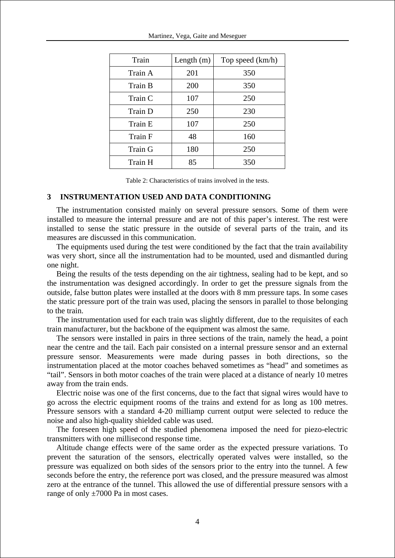| Train          | Length $(m)$ | Top speed (km/h) |
|----------------|--------------|------------------|
| Train A        | 201          | 350              |
| Train B        | 200          | 350              |
| Train C        | 107          | 250              |
| Train D        | 250          | 230              |
| Train E        | 107          | 250              |
| Train F        | 48           | 160              |
| <b>Train G</b> | 180          | 250              |
| Train H        | 85           | 350              |

Table 2: Characteristics of trains involved in the tests.

### **3 INSTRUMENTATION USED AND DATA CONDITIONING**

The instrumentation consisted mainly on several pressure sensors. Some of them were installed to measure the internal pressure and are not of this paper's interest. The rest were installed to sense the static pressure in the outside of several parts of the train, and its measures are discussed in this communication.

The equipments used during the test were conditioned by the fact that the train availability was very short, since all the instrumentation had to be mounted, used and dismantled during one night.

Being the results of the tests depending on the air tightness, sealing had to be kept, and so the instrumentation was designed accordingly. In order to get the pressure signals from the outside, false button plates were installed at the doors with 8 mm pressure taps. In some cases the static pressure port of the train was used, placing the sensors in parallel to those belonging to the train.

The instrumentation used for each train was slightly different, due to the requisites of each train manufacturer, but the backbone of the equipment was almost the same.

The sensors were installed in pairs in three sections of the train, namely the head, a point near the centre and the tail. Each pair consisted on a internal pressure sensor and an external pressure sensor. Measurements were made during passes in both directions, so the instrumentation placed at the motor coaches behaved sometimes as "head" and sometimes as "tail". Sensors in both motor coaches of the train were placed at a distance of nearly 10 metres away from the train ends.

Electric noise was one of the first concerns, due to the fact that signal wires would have to go across the electric equipment rooms of the trains and extend for as long as 100 metres. Pressure sensors with a standard 4-20 milliamp current output were selected to reduce the noise and also high-quality shielded cable was used.

The foreseen high speed of the studied phenomena imposed the need for piezo-electric transmitters with one millisecond response time.

Altitude change effects were of the same order as the expected pressure variations. To prevent the saturation of the sensors, electrically operated valves were installed, so the pressure was equalized on both sides of the sensors prior to the entry into the tunnel. A few seconds before the entry, the reference port was closed, and the pressure measured was almost zero at the entrance of the tunnel. This allowed the use of differential pressure sensors with a range of only  $\pm 7000$  Pa in most cases.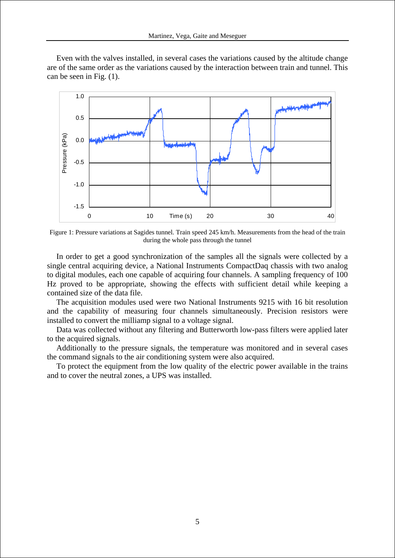Even with the valves installed, in several cases the variations caused by the altitude change are of the same order as the variations caused by the interaction between train and tunnel. This can be seen in Fig. (1).



Figure 1: Pressure variations at Sagides tunnel. Train speed 245 km/h. Measurements from the head of the train during the whole pass through the tunnel

In order to get a good synchronization of the samples all the signals were collected by a single central acquiring device, a National Instruments CompactDaq chassis with two analog to digital modules, each one capable of acquiring four channels. A sampling frequency of 100 Hz proved to be appropriate, showing the effects with sufficient detail while keeping a contained size of the data file.

The acquisition modules used were two National Instruments 9215 with 16 bit resolution and the capability of measuring four channels simultaneously. Precision resistors were installed to convert the milliamp signal to a voltage signal.

Data was collected without any filtering and Butterworth low-pass filters were applied later to the acquired signals.

Additionally to the pressure signals, the temperature was monitored and in several cases the command signals to the air conditioning system were also acquired.

To protect the equipment from the low quality of the electric power available in the trains and to cover the neutral zones, a UPS was installed.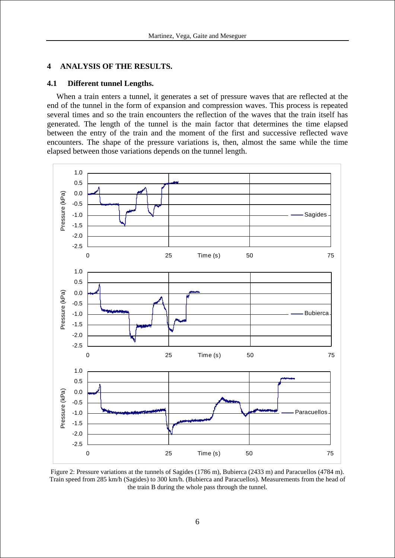## **4 ANALYSIS OF THE RESULTS.**

### **4.1 Different tunnel Lengths.**

When a train enters a tunnel, it generates a set of pressure waves that are reflected at the end of the tunnel in the form of expansion and compression waves. This process is repeated several times and so the train encounters the reflection of the waves that the train itself has generated. The length of the tunnel is the main factor that determines the time elapsed between the entry of the train and the moment of the first and successive reflected wave encounters. The shape of the pressure variations is, then, almost the same while the time elapsed between those variations depends on the tunnel length.



Figure 2: Pressure variations at the tunnels of Sagides (1786 m), Bubierca (2433 m) and Paracuellos (4784 m). Train speed from 285 km/h (Sagides) to 300 km/h. (Bubierca and Paracuellos). Measurements from the head of the train B during the whole pass through the tunnel.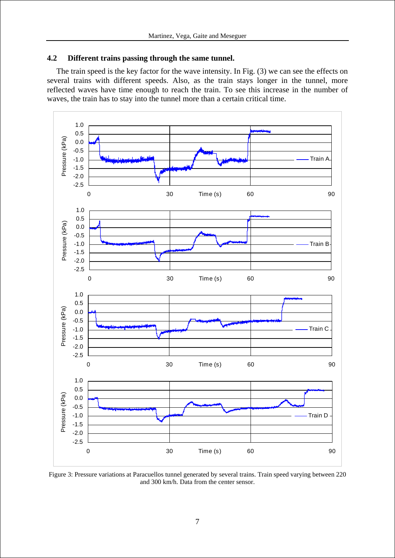## **4.2 Different trains passing through the same tunnel.**

The train speed is the key factor for the wave intensity. In Fig. (3) we can see the effects on several trains with different speeds. Also, as the train stays longer in the tunnel, more reflected waves have time enough to reach the train. To see this increase in the number of waves, the train has to stay into the tunnel more than a certain critical time.



Figure 3: Pressure variations at Paracuellos tunnel generated by several trains. Train speed varying between 220 and 300 km/h. Data from the center sensor.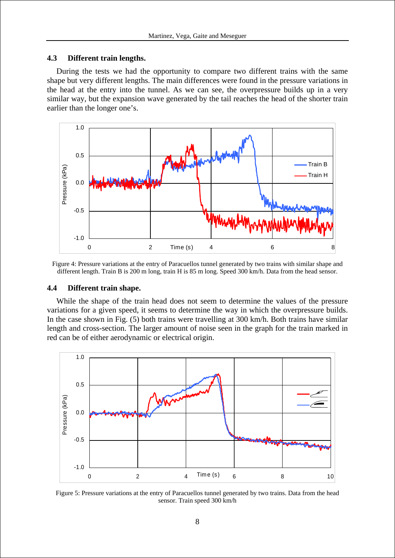### **4.3 Different train lengths.**

During the tests we had the opportunity to compare two different trains with the same shape but very different lengths. The main differences were found in the pressure variations in the head at the entry into the tunnel. As we can see, the overpressure builds up in a very similar way, but the expansion wave generated by the tail reaches the head of the shorter train earlier than the longer one's.



Figure 4: Pressure variations at the entry of Paracuellos tunnel generated by two trains with similar shape and different length. Train B is 200 m long, train H is 85 m long. Speed 300 km/h. Data from the head sensor.

### **4.4 Different train shape.**

While the shape of the train head does not seem to determine the values of the pressure variations for a given speed, it seems to determine the way in which the overpressure builds. In the case shown in Fig. (5) both trains were travelling at 300 km/h. Both trains have similar length and cross-section. The larger amount of noise seen in the graph for the train marked in red can be of either aerodynamic or electrical origin.



Figure 5: Pressure variations at the entry of Paracuellos tunnel generated by two trains. Data from the head sensor. Train speed 300 km/h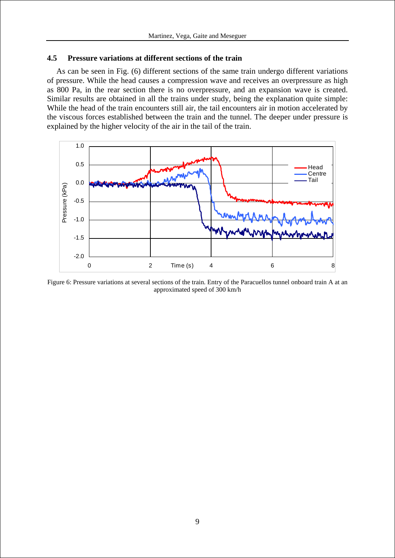### **4.5 Pressure variations at different sections of the train**

As can be seen in Fig. (6) different sections of the same train undergo different variations of pressure. While the head causes a compression wave and receives an overpressure as high as 800 Pa, in the rear section there is no overpressure, and an expansion wave is created. Similar results are obtained in all the trains under study, being the explanation quite simple: While the head of the train encounters still air, the tail encounters air in motion accelerated by the viscous forces established between the train and the tunnel. The deeper under pressure is explained by the higher velocity of the air in the tail of the train.



Figure 6: Pressure variations at several sections of the train. Entry of the Paracuellos tunnel onboard train A at an approximated speed of 300 km/h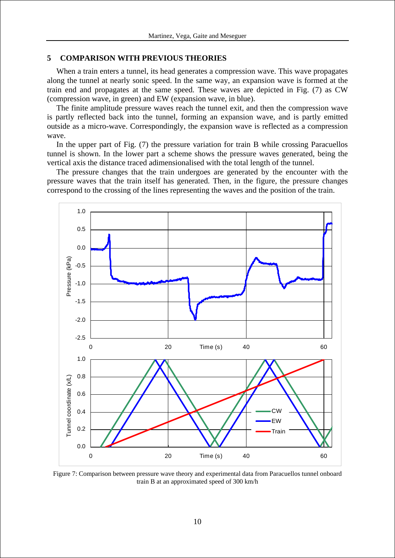#### **5 COMPARISON WITH PREVIOUS THEORIES**

When a train enters a tunnel, its head generates a compression wave. This wave propagates along the tunnel at nearly sonic speed. In the same way, an expansion wave is formed at the train end and propagates at the same speed. These waves are depicted in Fig. (7) as CW (compression wave, in green) and EW (expansion wave, in blue).

The finite amplitude pressure waves reach the tunnel exit, and then the compression wave is partly reflected back into the tunnel, forming an expansion wave, and is partly emitted outside as a micro-wave. Correspondingly, the expansion wave is reflected as a compression wave.

In the upper part of Fig. (7) the pressure variation for train B while crossing Paracuellos tunnel is shown. In the lower part a scheme shows the pressure waves generated, being the vertical axis the distance traced adimensionalised with the total length of the tunnel.

The pressure changes that the train undergoes are generated by the encounter with the pressure waves that the train itself has generated. Then, in the figure, the pressure changes correspond to the crossing of the lines representing the waves and the position of the train.



Figure 7: Comparison between pressure wave theory and experimental data from Paracuellos tunnel onboard train B at an approximated speed of 300 km/h